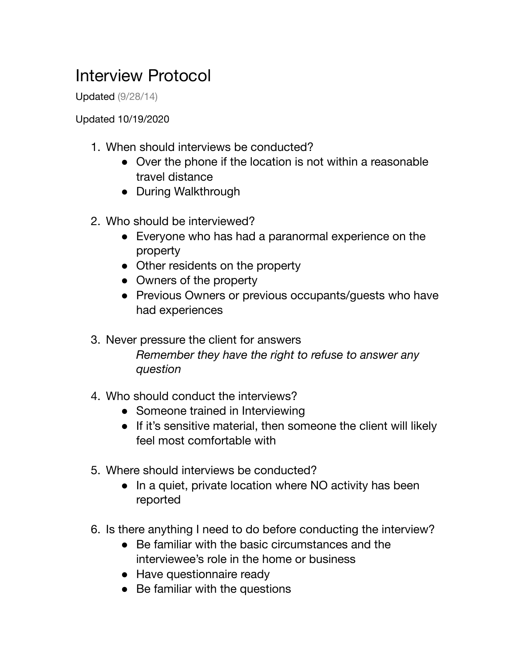## Interview Protocol

Updated (9/28/14)

Updated 10/19/2020

- 1. When should interviews be conducted?
	- Over the phone if the location is not within a reasonable travel distance
	- During Walkthrough
- 2. Who should be interviewed?
	- Everyone who has had a paranormal experience on the property
	- Other residents on the property
	- Owners of the property
	- Previous Owners or previous occupants/quests who have had experiences

3. Never pressure the client for answers *Remember they have the right to refuse to answer any question*

- 4. Who should conduct the interviews?
	- Someone trained in Interviewing
	- If it's sensitive material, then someone the client will likely feel most comfortable with
- 5. Where should interviews be conducted?
	- In a quiet, private location where NO activity has been reported
- 6. Is there anything I need to do before conducting the interview?
	- Be familiar with the basic circumstances and the interviewee's role in the home or business
	- Have questionnaire ready
	- Be familiar with the questions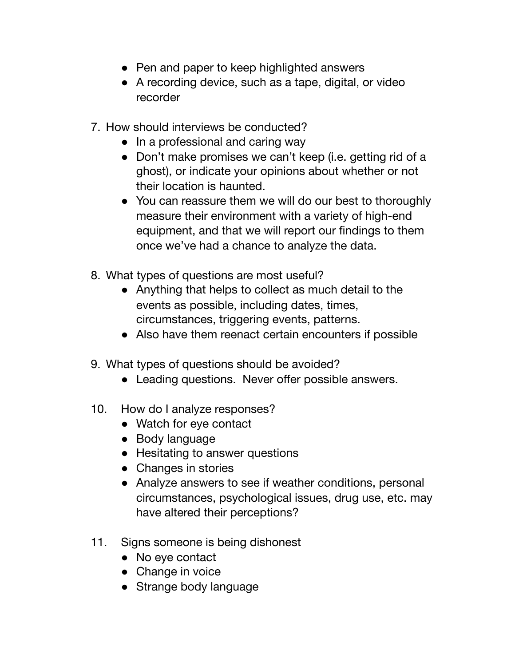- Pen and paper to keep highlighted answers
- A recording device, such as a tape, digital, or video recorder
- 7. How should interviews be conducted?
	- In a professional and caring way
	- Don't make promises we can't keep (i.e. getting rid of a ghost), or indicate your opinions about whether or not their location is haunted.
	- You can reassure them we will do our best to thoroughly measure their environment with a variety of high-end equipment, and that we will report our findings to them once we've had a chance to analyze the data.
- 8. What types of questions are most useful?
	- Anything that helps to collect as much detail to the events as possible, including dates, times, circumstances, triggering events, patterns.
	- Also have them reenact certain encounters if possible
- 9. What types of questions should be avoided?
	- Leading questions. Never offer possible answers.
- 10. How do I analyze responses?
	- Watch for eye contact
	- Body language
	- Hesitating to answer questions
	- Changes in stories
	- Analyze answers to see if weather conditions, personal circumstances, psychological issues, drug use, etc. may have altered their perceptions?
- 11. Signs someone is being dishonest
	- No eye contact
	- Change in voice
	- Strange body language